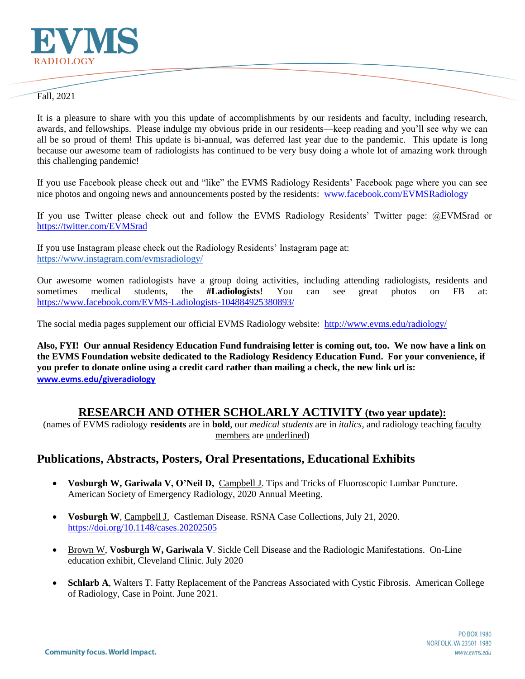

#### Fall, 2021

It is a pleasure to share with you this update of accomplishments by our residents and faculty, including research, awards, and fellowships. Please indulge my obvious pride in our residents—keep reading and you'll see why we can all be so proud of them! This update is bi-annual, was deferred last year due to the pandemic. This update is long because our awesome team of radiologists has continued to be very busy doing a whole lot of amazing work through this challenging pandemic!

If you use Facebook please check out and "like" the EVMS Radiology Residents' Facebook page where you can see nice photos and ongoing news and announcements posted by the residents: [www.facebook.com/EVMSRadiology](http://www.facebook.com/EVMSRadiology)

If you use Twitter please check out and follow the EVMS Radiology Residents' Twitter page: @EVMSrad or <https://twitter.com/EVMSrad>

If you use Instagram please check out the Radiology Residents' Instagram page at: <https://www.instagram.com/evmsradiology/>

Our awesome women radiologists have a group doing activities, including attending radiologists, residents and sometimes medical students, the **#Ladiologists**! You can see great photos on FB at: <https://www.facebook.com/EVMS-Ladiologists-104884925380893/>

The social media pages supplement our official EVMS Radiology website: <http://www.evms.edu/radiology/>

**Also, FYI! Our annual Residency Education Fund fundraising letter is coming out, too. We now have a link on the EVMS Foundation website dedicated to the Radiology Residency Education Fund. For your convenience, if you prefer to donate online using a credit card rather than mailing a check, the new link url is: [www.evms.edu/giveradiology](http://www.evms.edu/giveradiology)**

## **RESEARCH AND OTHER SCHOLARLY ACTIVITY (two year update):**

(names of EVMS radiology **residents** are in **bold**, our *medical students* are in *italics*, and radiology teaching faculty members are underlined)

## **Publications, Abstracts, Posters, Oral Presentations, Educational Exhibits**

- **Vosburgh W, Gariwala V, O'Neil D,** Campbell J. Tips and Tricks of Fluoroscopic Lumbar Puncture. American Society of Emergency Radiology, 2020 Annual Meeting.
- **Vosburgh W**, Campbell J. Castleman Disease. RSNA Case Collections, July 21, 2020. <https://doi.org/10.1148/cases.20202505>
- Brown W, **Vosburgh W, Gariwala V**. Sickle Cell Disease and the Radiologic Manifestations. On-Line education exhibit, Cleveland Clinic. July 2020
- **Schlarb A**, Walters T. Fatty Replacement of the Pancreas Associated with Cystic Fibrosis. American College of Radiology, Case in Point. June 2021.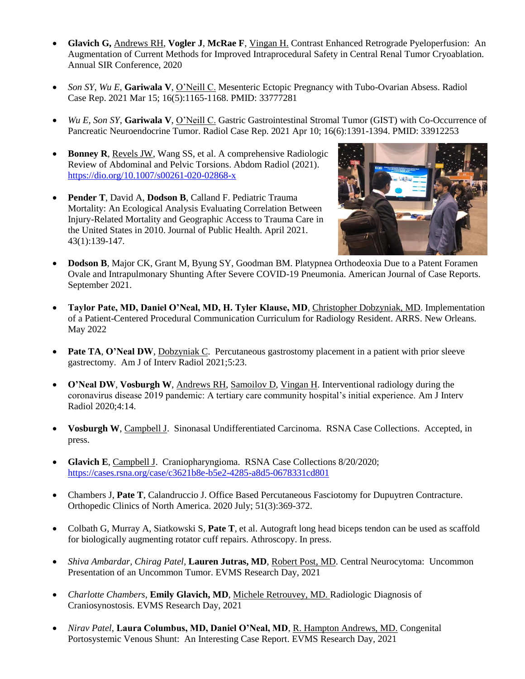- **Glavich G,** Andrews RH, **Vogler J**, **McRae F**, Vingan H. Contrast Enhanced Retrograde Pyeloperfusion: An Augmentation of Current Methods for Improved Intraprocedural Safety in Central Renal Tumor Cryoablation. Annual SIR Conference, 2020
- *Son SY*, *Wu E*, **Gariwala V**, O'Neill C. Mesenteric Ectopic Pregnancy with Tubo-Ovarian Absess. Radiol Case Rep. 2021 Mar 15; 16(5):1165-1168. PMID: 33777281
- *Wu E, Son SY*, **Gariwala V**, O'Neill C. Gastric Gastrointestinal Stromal Tumor (GIST) with Co-Occurrence of Pancreatic Neuroendocrine Tumor. Radiol Case Rep. 2021 Apr 10; 16(6):1391-1394. PMID: 33912253
- **Bonney R**, Revels JW, Wang SS, et al. A comprehensive Radiologic Review of Abdominal and Pelvic Torsions. Abdom Radiol (2021). <https://dio.org/10.1007/s00261-020-02868-x>
- **Pender T**, David A, **Dodson B**, Calland F. Pediatric Trauma Mortality: An Ecological Analysis Evaluating Correlation Between Injury-Related Mortality and Geographic Access to Trauma Care in the United States in 2010. Journal of Public Health. April 2021. 43(1):139-147.



- **Dodson B**, Major CK, Grant M, Byung SY, Goodman BM. Platypnea Orthodeoxia Due to a Patent Foramen Ovale and Intrapulmonary Shunting After Severe COVID-19 Pneumonia. American Journal of Case Reports. September 2021.
- **Taylor Pate, MD, Daniel O'Neal, MD, H. Tyler Klause, MD**, Christopher Dobzyniak, MD. Implementation of a Patient-Centered Procedural Communication Curriculum for Radiology Resident. ARRS. New Orleans. May 2022
- **Pate TA, O'Neal DW**, Dobzyniak C. Percutaneous gastrostomy placement in a patient with prior sleeve gastrectomy. Am J of Interv Radiol 2021;5:23.
- **O'Neal DW**, **Vosburgh W**, Andrews RH, Samoilov D, Vingan H. Interventional radiology during the coronavirus disease 2019 pandemic: A tertiary care community hospital's initial experience. Am J Interv Radiol 2020;4:14.
- **Vosburgh W**, Campbell J. Sinonasal Undifferentiated Carcinoma. RSNA Case Collections. Accepted, in press.
- **Glavich E**, Campbell J. Craniopharyngioma. RSNA Case Collections 8/20/2020; <https://cases.rsna.org/case/c3621b8e-b5e2-4285-a8d5-0678331cd801>
- Chambers J, **Pate T**, Calandruccio J. Office Based Percutaneous Fasciotomy for Dupuytren Contracture. Orthopedic Clinics of North America. 2020 July; 51(3):369-372.
- Colbath G, Murray A, Siatkowski S, **Pate T**, et al. Autograft long head biceps tendon can be used as scaffold for biologically augmenting rotator cuff repairs. Athroscopy. In press.
- *Shiva Ambardar, Chirag Patel,* **Lauren Jutras, MD**, Robert Post, MD. Central Neurocytoma: Uncommon Presentation of an Uncommon Tumor. EVMS Research Day, 2021
- *Charlotte Chambers*, **Emily Glavich, MD**, Michele Retrouvey, MD. Radiologic Diagnosis of Craniosynostosis. EVMS Research Day, 2021
- *Nirav Patel*, **Laura Columbus, MD, Daniel O'Neal, MD**, R. Hampton Andrews, MD. Congenital Portosystemic Venous Shunt: An Interesting Case Report. EVMS Research Day, 2021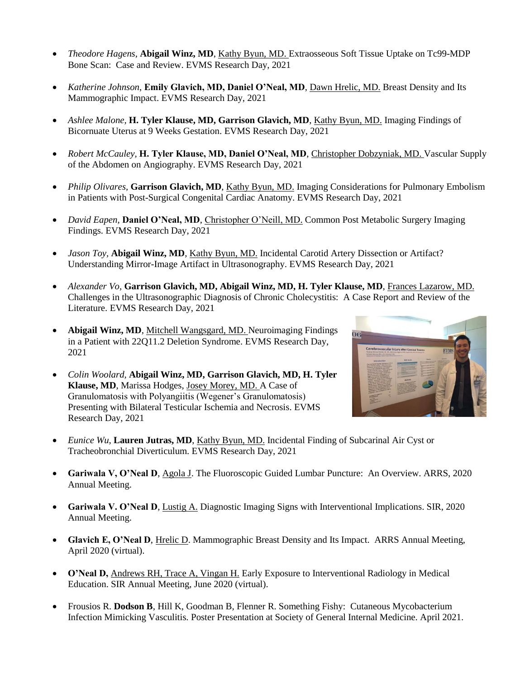- *Theodore Hagens,* **Abigail Winz, MD**, Kathy Byun, MD. Extraosseous Soft Tissue Uptake on Tc99-MDP Bone Scan: Case and Review. EVMS Research Day, 2021
- *Katherine Johnson*, **Emily Glavich, MD, Daniel O'Neal, MD**, Dawn Hrelic, MD. Breast Density and Its Mammographic Impact. EVMS Research Day, 2021
- *Ashlee Malone,* **H. Tyler Klause, MD, Garrison Glavich, MD**, Kathy Byun, MD. Imaging Findings of Bicornuate Uterus at 9 Weeks Gestation. EVMS Research Day, 2021
- *Robert McCauley,* **H. Tyler Klause, MD, Daniel O'Neal, MD**, Christopher Dobzyniak, MD. Vascular Supply of the Abdomen on Angiography. EVMS Research Day, 2021
- *Philip Olivares,* **Garrison Glavich, MD**, Kathy Byun, MD. Imaging Considerations for Pulmonary Embolism in Patients with Post-Surgical Congenital Cardiac Anatomy. EVMS Research Day, 2021
- *David Eapen,* **Daniel O'Neal, MD**, Christopher O'Neill, MD. Common Post Metabolic Surgery Imaging Findings. EVMS Research Day, 2021
- *Jason Toy,* **Abigail Winz, MD**, Kathy Byun, MD. Incidental Carotid Artery Dissection or Artifact? Understanding Mirror-Image Artifact in Ultrasonography. EVMS Research Day, 2021
- *Alexander Vo,* **Garrison Glavich, MD, Abigail Winz, MD, H. Tyler Klause, MD**, Frances Lazarow, MD. Challenges in the Ultrasonographic Diagnosis of Chronic Cholecystitis: A Case Report and Review of the Literature. EVMS Research Day, 2021
- **Abigail Winz, MD**, Mitchell Wangsgard, MD. Neuroimaging Findings in a Patient with 22Q11.2 Deletion Syndrome. EVMS Research Day, 2021
- *Colin Woolard,* **Abigail Winz, MD, Garrison Glavich, MD, H. Tyler Klause, MD**, Marissa Hodges, Josey Morey, MD. A Case of Granulomatosis with Polyangiitis (Wegener's Granulomatosis) Presenting with Bilateral Testicular Ischemia and Necrosis. EVMS Research Day, 2021



- *Eunice Wu*, **Lauren Jutras, MD**, Kathy Byun, MD. Incidental Finding of Subcarinal Air Cyst or Tracheobronchial Diverticulum. EVMS Research Day, 2021
- **Gariwala V, O'Neal D**, Agola J. The Fluoroscopic Guided Lumbar Puncture: An Overview. ARRS, 2020 Annual Meeting.
- **Gariwala V. O'Neal D**, Lustig A. Diagnostic Imaging Signs with Interventional Implications. SIR, 2020 Annual Meeting.
- **Glavich E, O'Neal D**, Hrelic D. Mammographic Breast Density and Its Impact. ARRS Annual Meeting, April 2020 (virtual).
- **O'Neal D,** Andrews RH, Trace A, Vingan H. Early Exposure to Interventional Radiology in Medical Education. SIR Annual Meeting, June 2020 (virtual).
- Frousios R. **Dodson B**, Hill K, Goodman B, Flenner R. Something Fishy: Cutaneous Mycobacterium Infection Mimicking Vasculitis. Poster Presentation at Society of General Internal Medicine. April 2021.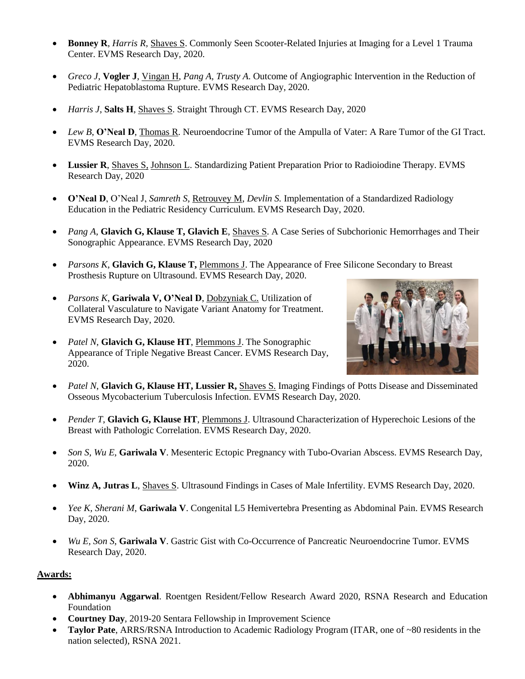- **Bonney R**, *Harris R,* Shaves S. Commonly Seen Scooter-Related Injuries at Imaging for a Level 1 Trauma Center. EVMS Research Day, 2020.
- *Greco J*, **Vogler J**, Vingan H, *Pang A, Trusty A*. Outcome of Angiographic Intervention in the Reduction of Pediatric Hepatoblastoma Rupture. EVMS Research Day, 2020.
- *Harris J*, **Salts H**, Shaves S. Straight Through CT. EVMS Research Day, 2020
- *Lew B*, **O'Neal D**, Thomas R. Neuroendocrine Tumor of the Ampulla of Vater: A Rare Tumor of the GI Tract. EVMS Research Day, 2020.
- **Lussier R**, Shaves S, Johnson L. Standardizing Patient Preparation Prior to Radioiodine Therapy. EVMS Research Day, 2020
- **O'Neal D**, O'Neal J, *Samreth S*, Retrouvey M, *Devlin S.* Implementation of a Standardized Radiology Education in the Pediatric Residency Curriculum. EVMS Research Day, 2020.
- *Pang A*, **Glavich G, Klause T, Glavich E**, Shaves S. A Case Series of Subchorionic Hemorrhages and Their Sonographic Appearance. EVMS Research Day, 2020
- *Parsons K*, **Glavich G, Klause T,** Plemmons J. The Appearance of Free Silicone Secondary to Breast Prosthesis Rupture on Ultrasound. EVMS Research Day, 2020.
- *Parsons K*, **Gariwala V, O'Neal D**, Dobzyniak C. Utilization of Collateral Vasculature to Navigate Variant Anatomy for Treatment. EVMS Research Day, 2020.
- *Patel N*, **Glavich G, Klause HT**, Plemmons J. The Sonographic Appearance of Triple Negative Breast Cancer. EVMS Research Day, 2020.



- *Patel N*, **Glavich G, Klause HT, Lussier R,** Shaves S. Imaging Findings of Potts Disease and Disseminated Osseous Mycobacterium Tuberculosis Infection. EVMS Research Day, 2020.
- *Pender T*, **Glavich G, Klause HT**, Plemmons J. Ultrasound Characterization of Hyperechoic Lesions of the Breast with Pathologic Correlation. EVMS Research Day, 2020.
- *Son S, Wu E*, **Gariwala V**. Mesenteric Ectopic Pregnancy with Tubo-Ovarian Abscess. EVMS Research Day, 2020.
- **Winz A, Jutras L**, Shaves S. Ultrasound Findings in Cases of Male Infertility. EVMS Research Day, 2020.
- *Yee K, Sherani M*, **Gariwala V**. Congenital L5 Hemivertebra Presenting as Abdominal Pain. EVMS Research Day, 2020.
- *Wu E, Son S*, **Gariwala V**. Gastric Gist with Co-Occurrence of Pancreatic Neuroendocrine Tumor. EVMS Research Day, 2020.

#### **Awards:**

- **Abhimanyu Aggarwal**. Roentgen Resident/Fellow Research Award 2020, RSNA Research and Education Foundation
- **Courtney Day**, 2019-20 Sentara Fellowship in Improvement Science
- **Taylor Pate**, ARRS/RSNA Introduction to Academic Radiology Program (ITAR, one of ~80 residents in the nation selected), RSNA 2021.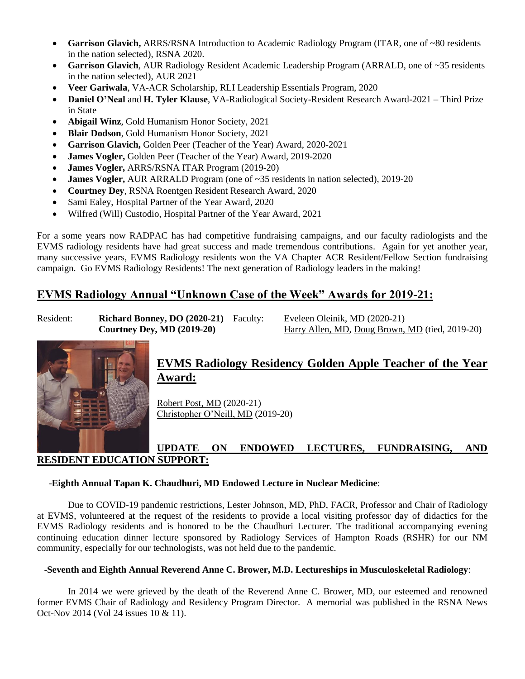- Garrison Glavich, ARRS/RSNA Introduction to Academic Radiology Program (ITAR, one of ~80 residents in the nation selected), RSNA 2020.
- **Garrison Glavich**, AUR Radiology Resident Academic Leadership Program (ARRALD, one of ~35 residents in the nation selected), AUR 2021
- **Veer Gariwala**, VA-ACR Scholarship, RLI Leadership Essentials Program, 2020
- **Daniel O'Neal** and **H. Tyler Klause**, VA-Radiological Society-Resident Research Award-2021 Third Prize in State
- **Abigail Winz**, Gold Humanism Honor Society, 2021
- **Blair Dodson**, Gold Humanism Honor Society, 2021
- **Garrison Glavich,** Golden Peer (Teacher of the Year) Award, 2020-2021
- **James Vogler,** Golden Peer (Teacher of the Year) Award, 2019-2020
- **James Vogler,** ARRS/RSNA ITAR Program (2019-20)
- **James Vogler, AUR ARRALD Program** (one of ~35 residents in nation selected), 2019-20
- **Courtney Dey**, RSNA Roentgen Resident Research Award, 2020
- Sami Ealey, Hospital Partner of the Year Award, 2020
- Wilfred (Will) Custodio, Hospital Partner of the Year Award, 2021

For a some years now RADPAC has had competitive fundraising campaigns, and our faculty radiologists and the EVMS radiology residents have had great success and made tremendous contributions. Again for yet another year, many successive years, EVMS Radiology residents won the VA Chapter ACR Resident/Fellow Section fundraising campaign. Go EVMS Radiology Residents! The next generation of Radiology leaders in the making!

# **EVMS Radiology Annual "Unknown Case of the Week" Awards for 2019-21:**

Resident: **Richard Bonney, DO (2020-21)** Faculty: Eveleen Oleinik, MD (2020-21)

**Courtney Dey, MD (2019-20)** Harry Allen, MD, Doug Brown, MD (tied, 2019-20)



# **EVMS Radiology Residency Golden Apple Teacher of the Year Award:**

Robert Post, MD (2020-21) Christopher O'Neill, MD (2019-20)

# **UPDATE ON ENDOWED LECTURES, FUNDRAISING, AND RESIDENT EDUCATION SUPPORT:**

#### -**Eighth Annual Tapan K. Chaudhuri, MD Endowed Lecture in Nuclear Medicine**:

Due to COVID-19 pandemic restrictions, Lester Johnson, MD, PhD, FACR, Professor and Chair of Radiology at EVMS, volunteered at the request of the residents to provide a local visiting professor day of didactics for the EVMS Radiology residents and is honored to be the Chaudhuri Lecturer. The traditional accompanying evening continuing education dinner lecture sponsored by Radiology Services of Hampton Roads (RSHR) for our NM community, especially for our technologists, was not held due to the pandemic.

#### -**Seventh and Eighth Annual Reverend Anne C. Brower, M.D. Lectureships in Musculoskeletal Radiology**:

In 2014 we were grieved by the death of the Reverend Anne C. Brower, MD, our esteemed and renowned former EVMS Chair of Radiology and Residency Program Director. A memorial was published in the RSNA News Oct-Nov 2014 (Vol 24 issues 10 & 11).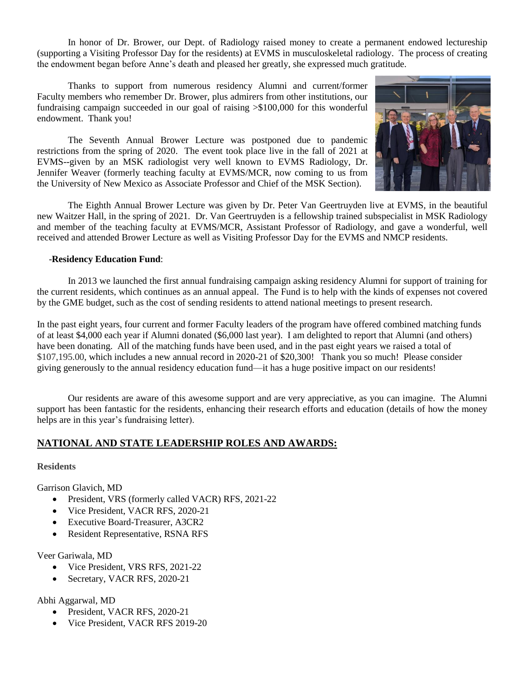In honor of Dr. Brower, our Dept. of Radiology raised money to create a permanent endowed lectureship (supporting a Visiting Professor Day for the residents) at EVMS in musculoskeletal radiology. The process of creating the endowment began before Anne's death and pleased her greatly, she expressed much gratitude.

Thanks to support from numerous residency Alumni and current/former Faculty members who remember Dr. Brower, plus admirers from other institutions, our fundraising campaign succeeded in our goal of raising >\$100,000 for this wonderful endowment. Thank you!

The Seventh Annual Brower Lecture was postponed due to pandemic restrictions from the spring of 2020. The event took place live in the fall of 2021 at EVMS--given by an MSK radiologist very well known to EVMS Radiology, Dr. Jennifer Weaver (formerly teaching faculty at EVMS/MCR, now coming to us from the University of New Mexico as Associate Professor and Chief of the MSK Section).



The Eighth Annual Brower Lecture was given by Dr. Peter Van Geertruyden live at EVMS, in the beautiful new Waitzer Hall, in the spring of 2021. Dr. Van Geertruyden is a fellowship trained subspecialist in MSK Radiology and member of the teaching faculty at EVMS/MCR, Assistant Professor of Radiology, and gave a wonderful, well received and attended Brower Lecture as well as Visiting Professor Day for the EVMS and NMCP residents.

#### -**Residency Education Fund**:

In 2013 we launched the first annual fundraising campaign asking residency Alumni for support of training for the current residents, which continues as an annual appeal. The Fund is to help with the kinds of expenses not covered by the GME budget, such as the cost of sending residents to attend national meetings to present research.

In the past eight years, four current and former Faculty leaders of the program have offered combined matching funds of at least \$4,000 each year if Alumni donated (\$6,000 last year). I am delighted to report that Alumni (and others) have been donating. All of the matching funds have been used, and in the past eight years we raised a total of \$107,195.00, which includes a new annual record in 2020-21 of \$20,300! Thank you so much! Please consider giving generously to the annual residency education fund—it has a huge positive impact on our residents!

Our residents are aware of this awesome support and are very appreciative, as you can imagine. The Alumni support has been fantastic for the residents, enhancing their research efforts and education (details of how the money helps are in this year's fundraising letter).

## **NATIONAL AND STATE LEADERSHIP ROLES AND AWARDS:**

#### **Residents**

Garrison Glavich, MD

- President, VRS (formerly called VACR) RFS, 2021-22
- Vice President, VACR RFS, 2020-21
- Executive Board-Treasurer, A3CR2
- Resident Representative, RSNA RFS

#### Veer Gariwala, MD

- Vice President, VRS RFS, 2021-22
- Secretary, VACR RFS, 2020-21

Abhi Aggarwal, MD

- President, VACR RFS, 2020-21
- Vice President, VACR RFS 2019-20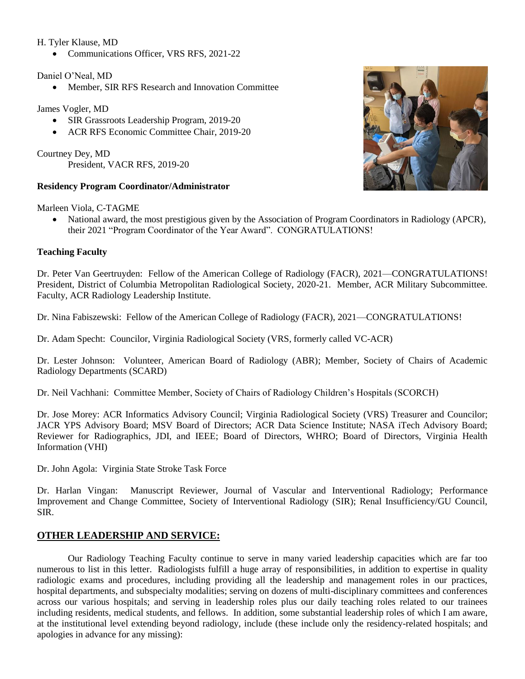#### H. Tyler Klause, MD

Communications Officer, VRS RFS, 2021-22

#### Daniel O'Neal, MD

Member, SIR RFS Research and Innovation Committee

#### James Vogler, MD

- SIR Grassroots Leadership Program, 2019-20
- ACR RFS Economic Committee Chair, 2019-20

Courtney Dey, MD President, VACR RFS, 2019-20

#### **Residency Program Coordinator/Administrator**

Marleen Viola, C-TAGME

 National award, the most prestigious given by the Association of Program Coordinators in Radiology (APCR), their 2021 "Program Coordinator of the Year Award". CONGRATULATIONS!

#### **Teaching Faculty**

Dr. Peter Van Geertruyden: Fellow of the American College of Radiology (FACR), 2021—CONGRATULATIONS! President, District of Columbia Metropolitan Radiological Society, 2020-21. Member, ACR Military Subcommittee. Faculty, ACR Radiology Leadership Institute.

Dr. Nina Fabiszewski: Fellow of the American College of Radiology (FACR), 2021—CONGRATULATIONS!

Dr. Adam Specht: Councilor, Virginia Radiological Society (VRS, formerly called VC-ACR)

Dr. Lester Johnson: Volunteer, American Board of Radiology (ABR); Member, Society of Chairs of Academic Radiology Departments (SCARD)

Dr. Neil Vachhani: Committee Member, Society of Chairs of Radiology Children's Hospitals (SCORCH)

Dr. Jose Morey: ACR Informatics Advisory Council; Virginia Radiological Society (VRS) Treasurer and Councilor; JACR YPS Advisory Board; MSV Board of Directors; ACR Data Science Institute; NASA iTech Advisory Board; Reviewer for Radiographics, JDI, and IEEE; Board of Directors, WHRO; Board of Directors, Virginia Health Information (VHI)

Dr. John Agola: Virginia State Stroke Task Force

Dr. Harlan Vingan: Manuscript Reviewer, Journal of Vascular and Interventional Radiology; Performance Improvement and Change Committee, Society of Interventional Radiology (SIR); Renal Insufficiency/GU Council, SIR.

## **OTHER LEADERSHIP AND SERVICE:**

Our Radiology Teaching Faculty continue to serve in many varied leadership capacities which are far too numerous to list in this letter. Radiologists fulfill a huge array of responsibilities, in addition to expertise in quality radiologic exams and procedures, including providing all the leadership and management roles in our practices, hospital departments, and subspecialty modalities; serving on dozens of multi-disciplinary committees and conferences across our various hospitals; and serving in leadership roles plus our daily teaching roles related to our trainees including residents, medical students, and fellows. In addition, some substantial leadership roles of which I am aware, at the institutional level extending beyond radiology, include (these include only the residency-related hospitals; and apologies in advance for any missing):

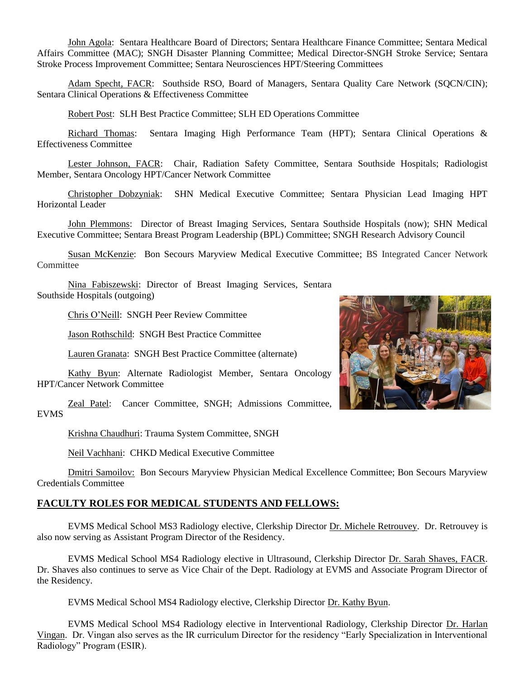John Agola: Sentara Healthcare Board of Directors; Sentara Healthcare Finance Committee; Sentara Medical Affairs Committee (MAC); SNGH Disaster Planning Committee; Medical Director-SNGH Stroke Service; Sentara Stroke Process Improvement Committee; Sentara Neurosciences HPT/Steering Committees

Adam Specht, FACR: Southside RSO, Board of Managers, Sentara Quality Care Network (SQCN/CIN); Sentara Clinical Operations & Effectiveness Committee

Robert Post: SLH Best Practice Committee; SLH ED Operations Committee

Richard Thomas: Sentara Imaging High Performance Team (HPT); Sentara Clinical Operations & Effectiveness Committee

Lester Johnson, FACR: Chair, Radiation Safety Committee, Sentara Southside Hospitals; Radiologist Member, Sentara Oncology HPT/Cancer Network Committee

Christopher Dobzyniak: SHN Medical Executive Committee; Sentara Physician Lead Imaging HPT Horizontal Leader

John Plemmons: Director of Breast Imaging Services, Sentara Southside Hospitals (now); SHN Medical Executive Committee; Sentara Breast Program Leadership (BPL) Committee; SNGH Research Advisory Council

Susan McKenzie: Bon Secours Maryview Medical Executive Committee; BS Integrated Cancer Network **Committee** 

Nina Fabiszewski: Director of Breast Imaging Services, Sentara Southside Hospitals (outgoing)

Chris O'Neill: SNGH Peer Review Committee

Jason Rothschild: SNGH Best Practice Committee

Lauren Granata: SNGH Best Practice Committee (alternate)

Kathy Byun: Alternate Radiologist Member, Sentara Oncology HPT/Cancer Network Committee

Zeal Patel: Cancer Committee, SNGH; Admissions Committee, EVMS

Krishna Chaudhuri: Trauma System Committee, SNGH

Neil Vachhani: CHKD Medical Executive Committee

Dmitri Samoilov: Bon Secours Maryview Physician Medical Excellence Committee; Bon Secours Maryview Credentials Committee

#### **FACULTY ROLES FOR MEDICAL STUDENTS AND FELLOWS:**

EVMS Medical School MS3 Radiology elective, Clerkship Director Dr. Michele Retrouvey. Dr. Retrouvey is also now serving as Assistant Program Director of the Residency.

EVMS Medical School MS4 Radiology elective in Ultrasound, Clerkship Director Dr. Sarah Shaves, FACR. Dr. Shaves also continues to serve as Vice Chair of the Dept. Radiology at EVMS and Associate Program Director of the Residency.

EVMS Medical School MS4 Radiology elective, Clerkship Director Dr. Kathy Byun.

EVMS Medical School MS4 Radiology elective in Interventional Radiology, Clerkship Director Dr. Harlan Vingan. Dr. Vingan also serves as the IR curriculum Director for the residency "Early Specialization in Interventional Radiology" Program (ESIR).

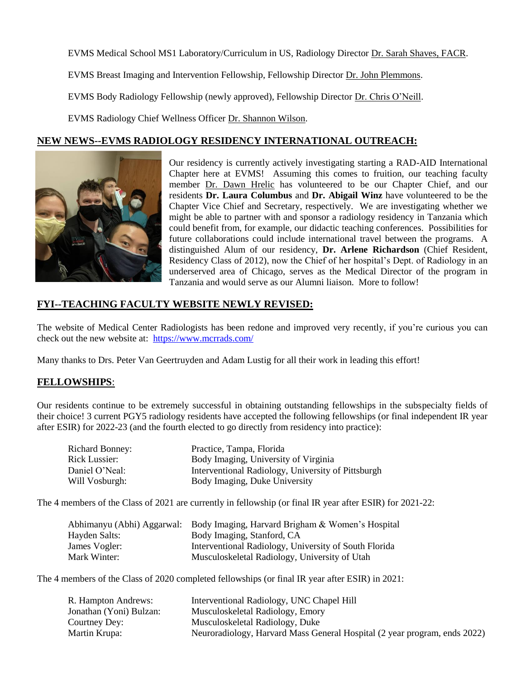EVMS Medical School MS1 Laboratory/Curriculum in US, Radiology Director Dr. Sarah Shaves, FACR.

EVMS Breast Imaging and Intervention Fellowship, Fellowship Director Dr. John Plemmons.

EVMS Body Radiology Fellowship (newly approved), Fellowship Director Dr. Chris O'Neill.

EVMS Radiology Chief Wellness Officer Dr. Shannon Wilson.

#### **NEW NEWS--EVMS RADIOLOGY RESIDENCY INTERNATIONAL OUTREACH:**



Our residency is currently actively investigating starting a RAD-AID International Chapter here at EVMS! Assuming this comes to fruition, our teaching faculty member Dr. Dawn Hrelic has volunteered to be our Chapter Chief, and our residents **Dr. Laura Columbus** and **Dr. Abigail Winz** have volunteered to be the Chapter Vice Chief and Secretary, respectively. We are investigating whether we might be able to partner with and sponsor a radiology residency in Tanzania which could benefit from, for example, our didactic teaching conferences. Possibilities for future collaborations could include international travel between the programs. A distinguished Alum of our residency, **Dr. Arlene Richardson** (Chief Resident, Residency Class of 2012), now the Chief of her hospital's Dept. of Radiology in an underserved area of Chicago, serves as the Medical Director of the program in Tanzania and would serve as our Alumni liaison. More to follow!

#### **FYI--TEACHING FACULTY WEBSITE NEWLY REVISED:**

The website of Medical Center Radiologists has been redone and improved very recently, if you're curious you can check out the new website at: <https://www.mcrrads.com/>

Many thanks to Drs. Peter Van Geertruyden and Adam Lustig for all their work in leading this effort!

#### **FELLOWSHIPS**:

Our residents continue to be extremely successful in obtaining outstanding fellowships in the subspecialty fields of their choice! 3 current PGY5 radiology residents have accepted the following fellowships (or final independent IR year after ESIR) for 2022-23 (and the fourth elected to go directly from residency into practice):

| <b>Richard Bonney:</b> | Practice, Tampa, Florida                           |
|------------------------|----------------------------------------------------|
| Rick Lussier:          | Body Imaging, University of Virginia               |
| Daniel O'Neal:         | Interventional Radiology, University of Pittsburgh |
| Will Vosburgh:         | Body Imaging, Duke University                      |

The 4 members of the Class of 2021 are currently in fellowship (or final IR year after ESIR) for 2021-22:

|               | Abhimanyu (Abhi) Aggarwal: Body Imaging, Harvard Brigham & Women's Hospital |
|---------------|-----------------------------------------------------------------------------|
| Hayden Salts: | Body Imaging, Stanford, CA                                                  |
| James Vogler: | Interventional Radiology, University of South Florida                       |
| Mark Winter:  | Musculoskeletal Radiology, University of Utah                               |

The 4 members of the Class of 2020 completed fellowships (or final IR year after ESIR) in 2021:

| R. Hampton Andrews:     | Interventional Radiology, UNC Chapel Hill                                 |
|-------------------------|---------------------------------------------------------------------------|
| Jonathan (Yoni) Bulzan: | Musculoskeletal Radiology, Emory                                          |
| Courtney Dey:           | Musculoskeletal Radiology, Duke                                           |
| Martin Krupa:           | Neuroradiology, Harvard Mass General Hospital (2 year program, ends 2022) |